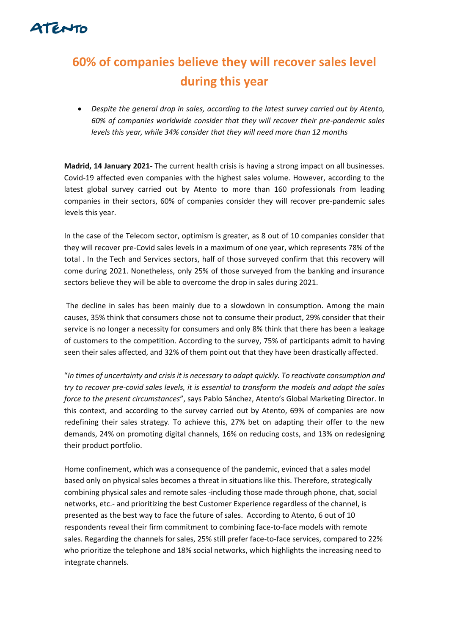

## **60% of companies believe they will recover sales level during this year**

• *Despite the general drop in sales, according to the latest survey carried out by Atento, 60% of companies worldwide consider that they will recover their pre-pandemic sales levels this year, while 34% consider that they will need more than 12 months*

**Madrid, 14 January 2021-** The current health crisis is having a strong impact on all businesses. Covid-19 affected even companies with the highest sales volume. However, according to the latest global survey carried out by Atento to more than 160 professionals from leading companies in their sectors, 60% of companies consider they will recover pre-pandemic sales levels this year.

In the case of the Telecom sector, optimism is greater, as 8 out of 10 companies consider that they will recover pre-Covid sales levels in a maximum of one year, which represents 78% of the total . In the Tech and Services sectors, half of those surveyed confirm that this recovery will come during 2021. Nonetheless, only 25% of those surveyed from the banking and insurance sectors believe they will be able to overcome the drop in sales during 2021.

The decline in sales has been mainly due to a slowdown in consumption. Among the main causes, 35% think that consumers chose not to consume their product, 29% consider that their service is no longer a necessity for consumers and only 8% think that there has been a leakage of customers to the competition. According to the survey, 75% of participants admit to having seen their sales affected, and 32% of them point out that they have been drastically affected.

"*In times of uncertainty and crisis it is necessary to adapt quickly. To reactivate consumption and try to recover pre-covid sales levels, it is essential to transform the models and adapt the sales force to the present circumstances*", says Pablo Sánchez, Atento's Global Marketing Director. In this context, and according to the survey carried out by Atento, 69% of companies are now redefining their sales strategy. To achieve this, 27% bet on adapting their offer to the new demands, 24% on promoting digital channels, 16% on reducing costs, and 13% on redesigning their product portfolio.

Home confinement, which was a consequence of the pandemic, evinced that a sales model based only on physical sales becomes a threat in situations like this. Therefore, strategically combining physical sales and remote sales -including those made through phone, chat, social networks, etc.- and prioritizing the best Customer Experience regardless of the channel, is presented as the best way to face the future of sales. According to Atento, 6 out of 10 respondents reveal their firm commitment to combining face-to-face models with remote sales. Regarding the channels for sales, 25% still prefer face-to-face services, compared to 22% who prioritize the telephone and 18% social networks, which highlights the increasing need to integrate channels.